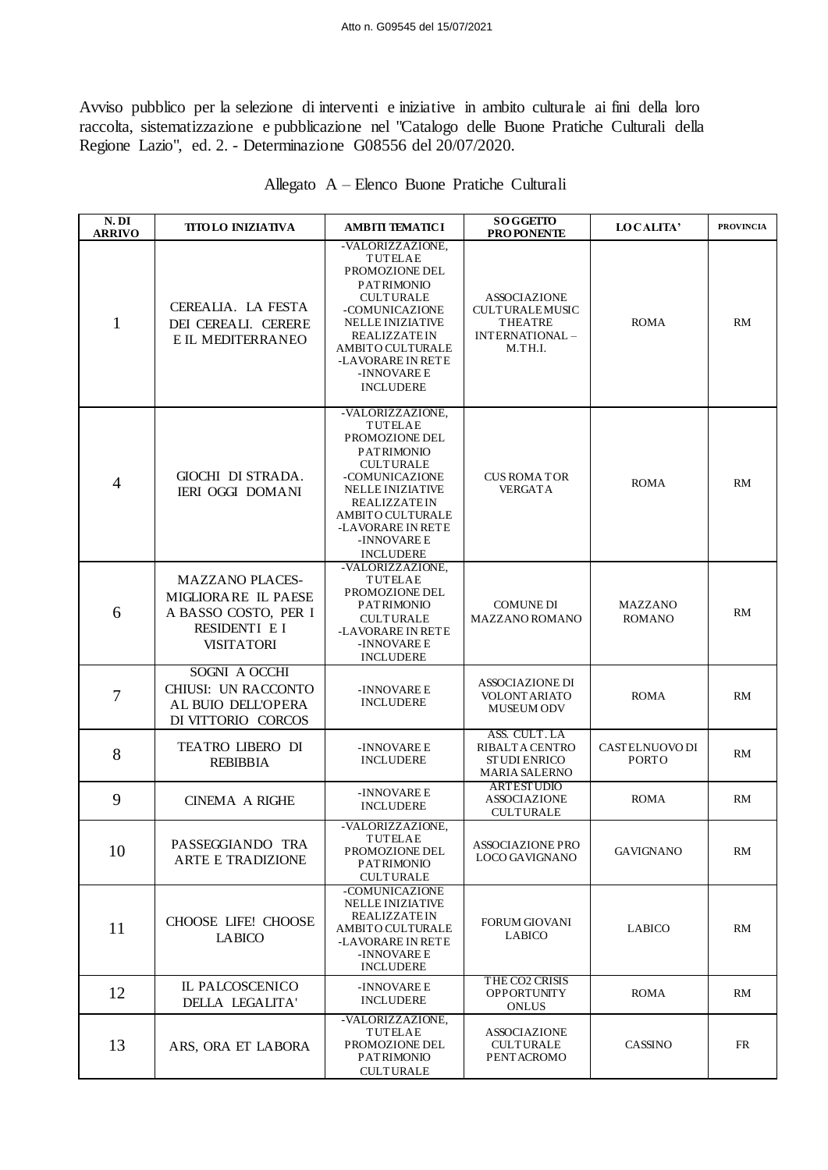Avviso pubblico per la selezione di interventi e iniziative in ambito culturale ai fini della loro raccolta, sistematizzazione e pubblicazione nel "Catalogo delle Buone Pratiche Culturali della Regione Lazio", ed. 2. - Determinazione G08556 del 20/07/2020.

| N. DI<br><b>ARRIVO</b> | <b>TITOLO INIZIATIVA</b>                                                                                    | AMBITI TEMATICI                                                                                                                                                                                                                               | <b>SOGGETTO</b><br><b>PROPONENTE</b>                                                 | <b>LOCALITA'</b>                | <b>PROVINCIA</b> |
|------------------------|-------------------------------------------------------------------------------------------------------------|-----------------------------------------------------------------------------------------------------------------------------------------------------------------------------------------------------------------------------------------------|--------------------------------------------------------------------------------------|---------------------------------|------------------|
| $\mathbf{1}$           | CEREALIA. LA FESTA<br>DEI CEREALI. CERERE<br>E IL MEDITERRANEO                                              | -VALORIZZAZIONE,<br><b>TUTELAE</b><br>PROMOZIONE DEL<br><b>PATRIMONIO</b><br><b>CULTURALE</b><br>-COMUNICAZIONE<br>NELLE INIZIATIVE<br><b>REALIZZATEIN</b><br><b>AMBITO CULTURALE</b><br>-LAVORARE IN RETE<br>-INNOVARE E<br><b>INCLUDERE</b> | <b>ASSOCIAZIONE</b><br><b>CULTURALEMUSIC</b><br>THEATRE<br>INTERNATIONAL-<br>M.TH.I. | <b>ROMA</b>                     | RM               |
| $\overline{4}$         | GIOCHI DI STRADA.<br><b>IERI OGGI DOMANI</b>                                                                | -VALORIZZAZIONE,<br>TUTELAE<br>PROMOZIONE DEL<br><b>PATRIMONIO</b><br><b>CULTURALE</b><br>-COMUNICAZIONE<br>NELLE INIZIATIVE<br><b>REALIZZATEIN</b><br><b>AMBITO CULTURALE</b><br>-LAVORARE IN RETE<br>-INNOVARE E<br><b>INCLUDERE</b>        | <b>CUS ROMA TOR</b><br><b>VERGATA</b>                                                | <b>ROMA</b>                     | RM               |
| 6                      | <b>MAZZANO PLACES-</b><br>MIGLIORARE IL PAESE<br>A BASSO COSTO, PER I<br>RESIDENTI E I<br><b>VISITATORI</b> | -VALORIZZAZIONE,<br>TUTELAE<br>PROMOZIONE DEL<br><b>PATRIMONIO</b><br><b>CULTURALE</b><br>-LAVORARE IN RETE<br>-INNOVARE E<br><b>INCLUDERE</b>                                                                                                | <b>COMUNE DI</b><br>MAZZANO ROMANO                                                   | <b>MAZZANO</b><br><b>ROMANO</b> | RM               |
| 7                      | SOGNI A OCCHI<br>CHIUSI: UN RACCONTO<br>AL BUIO DELL'OPERA<br>DI VITTORIO CORCOS                            | -INNOVARE E<br><b>INCLUDERE</b>                                                                                                                                                                                                               | <b>ASSOCIAZIONE DI</b><br><b>VOLONT ARIATO</b><br><b>MUSEUM ODV</b>                  | <b>ROMA</b>                     | RM               |
| 8                      | TEATRO LIBERO DI<br><b>REBIBBIA</b>                                                                         | -INNOVARE E<br><b>INCLUDERE</b>                                                                                                                                                                                                               | ASS. CULT. LA<br>RIBALTA CENTRO<br><b>ST UDI ENRICO</b><br><b>MARIA SALERNO</b>      | CASTELNUOVO DI<br><b>PORTO</b>  | RM               |
| 9                      | <b>CINEMA A RIGHE</b>                                                                                       | -INNOVARE E<br><b>INCLUDERE</b>                                                                                                                                                                                                               | <b>ARTESTUDIO</b><br><b>ASSOCIAZIONE</b><br><b>CULTURALE</b>                         | <b>ROMA</b>                     | RM               |
| 10                     | PASSEGGIANDO TRA<br><b>ARTE E TRADIZIONE</b>                                                                | -VALORIZZAZIONE,<br>TUTELAE<br>PROMOZIONE DEL<br><b>PATRIMONIO</b><br><b>CULTURALE</b>                                                                                                                                                        | <b>ASSOCIAZIONE PRO</b><br>LOCO GAVIGNANO                                            | <b>GAVIGNANO</b>                | RM               |
| 11                     | CHOOSE LIFE! CHOOSE<br><b>LABICO</b>                                                                        | -COMUNICAZIONE<br><b>NELLE INIZIATIVE</b><br><b>REALIZZATEIN</b><br>AMBITO CULTURALE<br>-LAVORARE IN RETE<br>-INNOVARE E<br><b>INCLUDERE</b>                                                                                                  | <b>FORUM GIOVANI</b><br><b>LABICO</b>                                                | <b>LABICO</b>                   | RM               |
| 12                     | IL PALCOSCENICO<br>DELLA LEGALITA'                                                                          | -INNOVARE E<br><b>INCLUDERE</b>                                                                                                                                                                                                               | THE CO2 CRISIS<br><b>OPPORTUNITY</b><br><b>ONLUS</b>                                 | <b>ROMA</b>                     | RM               |
| 13                     | ARS, ORA ET LABORA                                                                                          | -VALORIZZAZIONE,<br>TUTELAE<br>PROMOZIONE DEL<br><b>PATRIMONIO</b><br><b>CULTURALE</b>                                                                                                                                                        | <b>ASSOCIAZIONE</b><br><b>CULTURALE</b><br>PENT ACROMO                               | <b>CASSINO</b>                  | FR               |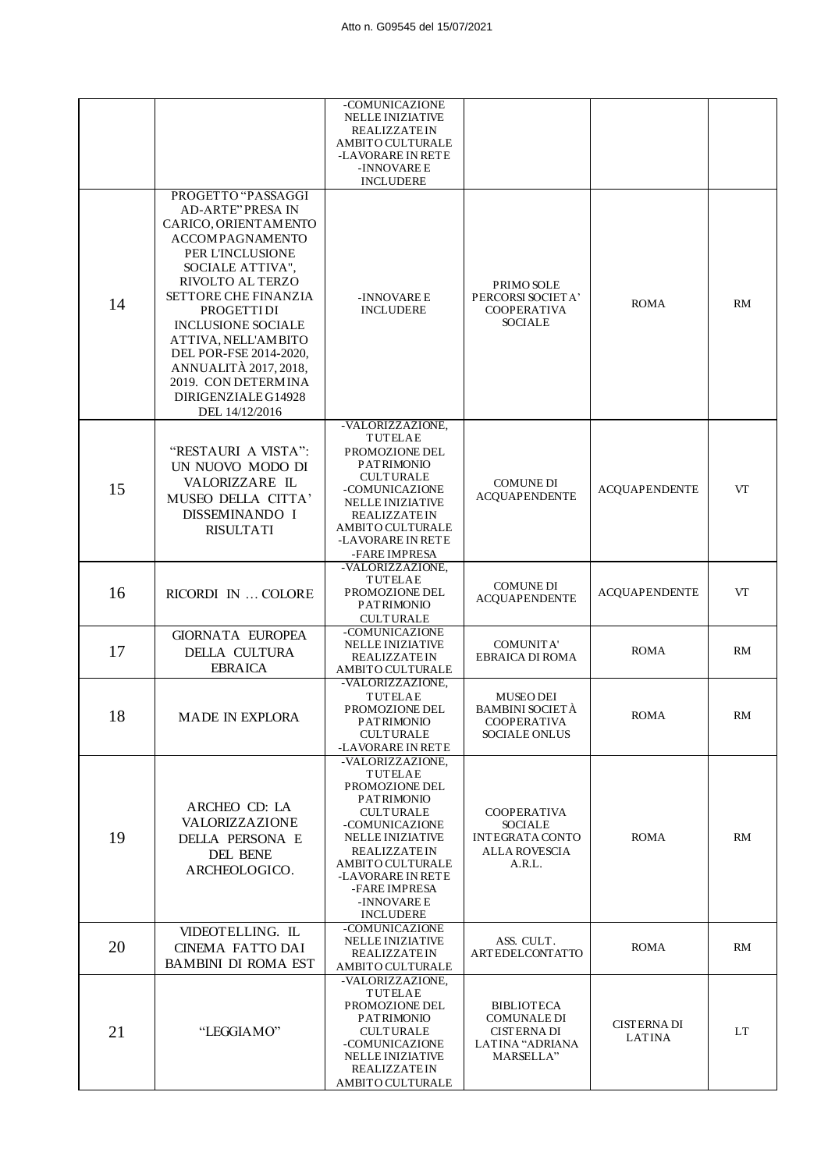|    |                                                                                                                                                                                                                                                                                                                                                                                         | -COMUNICAZIONE<br><b>NELLE INIZIATIVE</b><br><b>REALIZZATEIN</b><br>AMBITO CULTURALE<br>-LAVORARE IN RETE<br>-INNOVARE E<br><b>INCLUDERE</b>                                                                                                                          |                                                                                                  |                                     |           |
|----|-----------------------------------------------------------------------------------------------------------------------------------------------------------------------------------------------------------------------------------------------------------------------------------------------------------------------------------------------------------------------------------------|-----------------------------------------------------------------------------------------------------------------------------------------------------------------------------------------------------------------------------------------------------------------------|--------------------------------------------------------------------------------------------------|-------------------------------------|-----------|
| 14 | PROGETTO "PASSAGGI<br><b>AD-ARTE" PRESA IN</b><br>CARICO, ORIENTAMENTO<br><b>ACCOMPAGNAMENTO</b><br>PER L'INCLUSIONE<br>SOCIALE ATTIVA",<br>RIVOLTO AL TERZO<br><b>SETTORE CHE FINANZIA</b><br><b>PROGETTIDI</b><br><b>INCLUSIONE SOCIALE</b><br>ATTIVA, NELL'AMBITO<br>DEL POR-FSE 2014-2020,<br>ANNUALITÀ 2017, 2018,<br>2019. CON DETERMINA<br>DIRIGENZIALE G14928<br>DEL 14/12/2016 | -INNOVARE E<br><b>INCLUDERE</b>                                                                                                                                                                                                                                       | PRIMO SOLE<br>PERCORSI SOCIETA'<br><b>COOPERATIVA</b><br><b>SOCIALE</b>                          | <b>ROMA</b>                         | RM        |
| 15 | "RESTAURI A VISTA":<br>UN NUOVO MODO DI<br>VALORIZZARE IL<br>MUSEO DELLA CITTA'<br>DISSEMINANDO I<br><b>RISULTATI</b>                                                                                                                                                                                                                                                                   | -VALORIZZAZIONE,<br><b>TUTELAE</b><br>PROMOZIONE DEL<br><b>PATRIMONIO</b><br><b>CULTURALE</b><br>-COMUNICAZIONE<br><b>NELLE INIZIATIVE</b><br><b>REALIZZATEIN</b><br>AMBITO CULTURALE<br>-LAVORARE IN RETE<br>-FARE IMPRESA                                           | <b>COMUNE DI</b><br><b>ACQUAPENDENTE</b>                                                         | <b>ACQUAPENDENTE</b>                | <b>VT</b> |
| 16 | RICORDI IN  COLORE                                                                                                                                                                                                                                                                                                                                                                      | -VALORIZZAZIONE,<br><b>TUTELAE</b><br>PROMOZIONE DEL<br><b>PATRIMONIO</b><br><b>CULTURALE</b>                                                                                                                                                                         | <b>COMUNE DI</b><br><b>ACQUAPENDENTE</b>                                                         | <b>ACQUAPENDENTE</b>                | VT        |
| 17 | <b>GIORNATA EUROPEA</b><br>DELLA CULTURA<br><b>EBRAICA</b>                                                                                                                                                                                                                                                                                                                              | -COMUNICAZIONE<br><b>NELLE INIZIATIVE</b><br><b>REALIZZATEIN</b><br>AMBITO CULTURALE                                                                                                                                                                                  | <b>COMUNITA'</b><br><b>EBRAICA DI ROMA</b>                                                       | <b>ROMA</b>                         | RM        |
| 18 | <b>MADE IN EXPLORA</b>                                                                                                                                                                                                                                                                                                                                                                  | -VALORIZZAZIONE,<br><b>TUTELAE</b><br>PROMOZIONE DEL<br><b>PATRIMONIO</b><br><b>CULTURALE</b><br>-LAVORARE IN RETE                                                                                                                                                    | <b>MUSEO DEI</b><br><b>BAMBINI SOCIETÀ</b><br><b>COOPERATIVA</b><br><b>SOCIALE ONLUS</b>         | ROMA                                | RM        |
| 19 | ARCHEO CD: LA<br>VALORIZZAZIONE<br>DELLA PERSONA E<br>DEL BENE<br>ARCHEOLOGICO.                                                                                                                                                                                                                                                                                                         | -VALORIZZAZIONE,<br><b>TUTELAE</b><br>PROMOZIONE DEL<br><b>PATRIMONIO</b><br><b>CULTURALE</b><br>-COMUNICAZIONE<br><b>NELLE INIZIATIVE</b><br><b>REALIZZATEIN</b><br><b>AMBITO CULTURALE</b><br>-LAVORARE IN RETE<br>-FARE IMPRESA<br>-INNOVARE E<br><b>INCLUDERE</b> | <b>COOPERATIVA</b><br><b>SOCIALE</b><br><b>INTEGRATA CONTO</b><br><b>ALLA ROVESCIA</b><br>A.R.L. | <b>ROMA</b>                         | RM        |
| 20 | VIDEOTELLING. IL<br><b>CINEMA FATTO DAI</b><br><b>BAMBINI DI ROMA EST</b>                                                                                                                                                                                                                                                                                                               | -COMUNICAZIONE<br><b>NELLE INIZIATIVE</b><br><b>REALIZZATEIN</b><br>AMBITO CULTURALE                                                                                                                                                                                  | ASS. CULT.<br><b>ARTEDELCONTATTO</b>                                                             | <b>ROMA</b>                         | RM        |
| 21 | "LEGGIAMO"                                                                                                                                                                                                                                                                                                                                                                              | -VALORIZZAZIONE,<br><b>TUTELAE</b><br>PROMOZIONE DEL<br><b>PATRIMONIO</b><br><b>CULTURALE</b><br>-COMUNICAZIONE<br><b>NELLE INIZIATIVE</b><br><b>REALIZZATEIN</b><br>AMBITO CULTURALE                                                                                 | <b>BIBLIOTECA</b><br><b>COMUNALE DI</b><br><b>CISTERNA DI</b><br>LATINA "ADRIANA<br>MARSELLA"    | <b>CISTERNA DI</b><br><b>LATINA</b> | <b>LT</b> |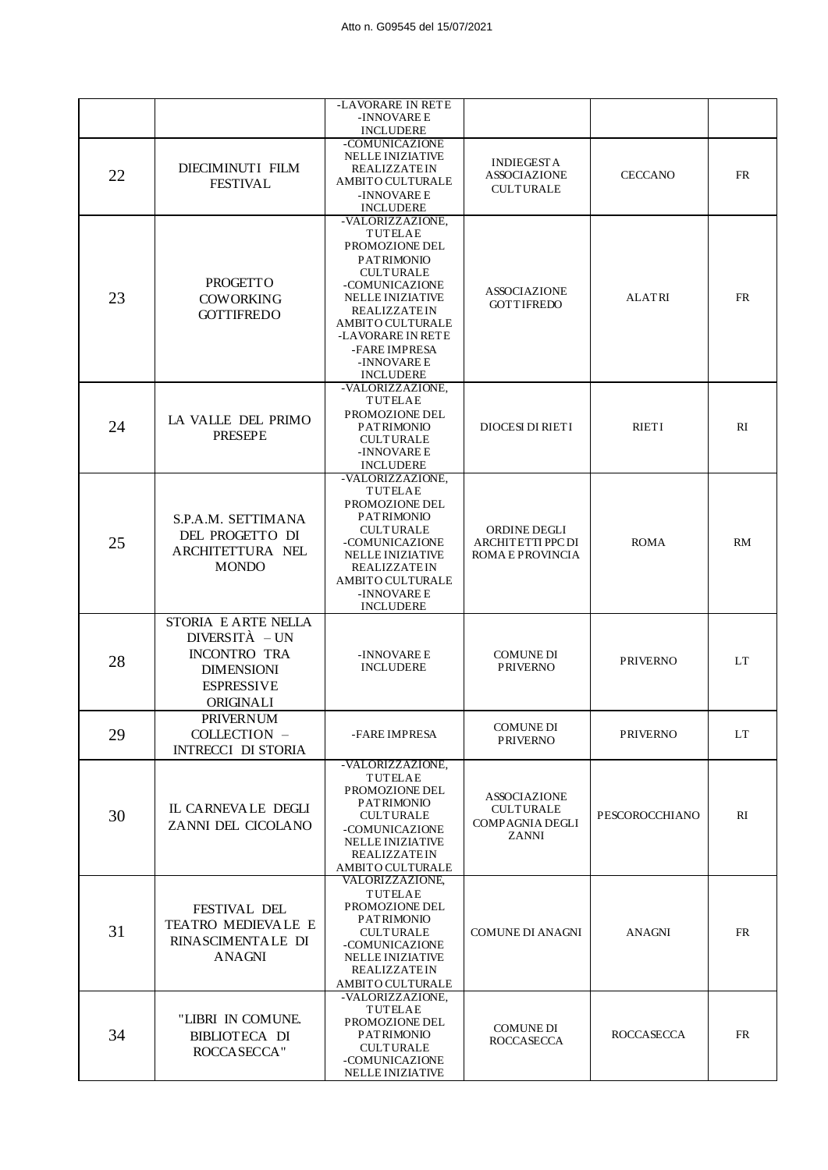|    |                                                                                                                       | -LAVORARE IN RETE<br>-INNOVARE E                                                                                                                                                                                                                                      |                                                                            |                   |           |
|----|-----------------------------------------------------------------------------------------------------------------------|-----------------------------------------------------------------------------------------------------------------------------------------------------------------------------------------------------------------------------------------------------------------------|----------------------------------------------------------------------------|-------------------|-----------|
|    |                                                                                                                       | <b>INCLUDERE</b>                                                                                                                                                                                                                                                      |                                                                            |                   |           |
| 22 | DIECIMINUTI FILM<br><b>FESTIVAL</b>                                                                                   | -COMUNICAZIONE<br><b>NELLE INIZIATIVE</b><br><b>REALIZZATEIN</b><br>AMBITO CULTURALE<br>-INNOVARE E<br><b>INCLUDERE</b>                                                                                                                                               | <b>INDIEGESTA</b><br><b>ASSOCIAZIONE</b><br><b>CULTURALE</b>               | <b>CECCANO</b>    | <b>FR</b> |
| 23 | <b>PROGETTO</b><br><b>COWORKING</b><br><b>GOTTIFREDO</b>                                                              | -VALORIZZAZIONE,<br><b>TUTELAE</b><br>PROMOZIONE DEL<br><b>PATRIMONIO</b><br><b>CULTURALE</b><br>-COMUNICAZIONE<br><b>NELLE INIZIATIVE</b><br><b>REALIZZATEIN</b><br><b>AMBITO CULTURALE</b><br>-LAVORARE IN RETE<br>-FARE IMPRESA<br>-INNOVARE E<br><b>INCLUDERE</b> | <b>ASSOCIAZIONE</b><br><b>GOTTIFREDO</b>                                   | <b>ALATRI</b>     | <b>FR</b> |
| 24 | LA VALLE DEL PRIMO<br><b>PRESEPE</b>                                                                                  | -VALORIZZAZIONE,<br>TUTELAE<br>PROMOZIONE DEL<br><b>PATRIMONIO</b><br><b>CULTURALE</b><br>-INNOVARE E<br><b>INCLUDERE</b>                                                                                                                                             | <b>DIOCESI DI RIETI</b>                                                    | <b>RIETI</b>      | RI        |
| 25 | S.P.A.M. SETTIMANA<br>DEL PROGETTO DI<br>ARCHITETTURA NEL<br><b>MONDO</b>                                             | -VALORIZZAZIONE.<br><b>TUTELAE</b><br>PROMOZIONE DEL<br><b>PATRIMONIO</b><br><b>CULTURALE</b><br>-COMUNICAZIONE<br><b>NELLE INIZIATIVE</b><br><b>REALIZZATEIN</b><br>AMBITO CULTURALE<br>-INNOVARE E<br><b>INCLUDERE</b>                                              | ORDINE DEGLI<br><b>ARCHITETTI PPC DI</b><br>ROMA E PROVINCIA               | <b>ROMA</b>       | <b>RM</b> |
| 28 | STORIA E ARTE NELLA<br>$DIVERSITA - UN$<br><b>INCONTRO TRA</b><br><b>DIMENSIONI</b><br><b>ESPRESSIVE</b><br>ORIGINALI | -INNOVARE E<br><b>INCLUDERE</b>                                                                                                                                                                                                                                       | <b>COMUNE DI</b><br><b>PRIVERNO</b>                                        | <b>PRIVERNO</b>   | <b>LT</b> |
| 29 | <b>PRIVERNUM</b><br>COLLECTION -<br><b>INTRECCI DI STORIA</b>                                                         | -FARE IMPRESA                                                                                                                                                                                                                                                         | <b>COMUNE DI</b><br><b>PRIVERNO</b>                                        | <b>PRIVERNO</b>   | LT.       |
| 30 | IL CARNEVALE DEGLI<br>ZANNI DEL CICOLANO                                                                              | -VALORIZZAZIONE,<br>TUTELAE<br>PROMOZIONE DEL<br><b>PATRIMONIO</b><br><b>CULTURALE</b><br>-COMUNICAZIONE<br><b>NELLE INIZIATIVE</b><br>REALIZZATEIN<br>AMBITO CULTURALE                                                                                               | <b>ASSOCIAZIONE</b><br><b>CULTURALE</b><br><b>COMPAGNIA DEGLI</b><br>ZANNI | PESCOROCCHIANO    | RI        |
| 31 | <b>FESTIVAL DEL</b><br><b>TEATRO MEDIEVALE E</b><br>RINASCIMENTALE DI<br>ANAGNI                                       | VALORIZZAZIONE,<br>TUTELAE<br>PROMOZIONE DEL<br><b>PATRIMONIO</b><br><b>CULTURALE</b><br>-COMUNICAZIONE<br><b>NELLE INIZIATIVE</b><br><b>REALIZZATEIN</b><br>AMBITO CULTURALE                                                                                         | <b>COMUNE DI ANAGNI</b>                                                    | <b>ANAGNI</b>     | <b>FR</b> |
| 34 | "LIBRI IN COMUNE.<br><b>BIBLIOTECA DI</b><br>ROCCASECCA"                                                              | -VALORIZZAZIONE,<br>TUTELAE<br>PROMOZIONE DEL<br><b>PATRIMONIO</b><br><b>CULTURALE</b><br>-COMUNICAZIONE<br>NELLE INIZIATIVE                                                                                                                                          | <b>COMUNE DI</b><br><b>ROCCASECCA</b>                                      | <b>ROCCASECCA</b> | <b>FR</b> |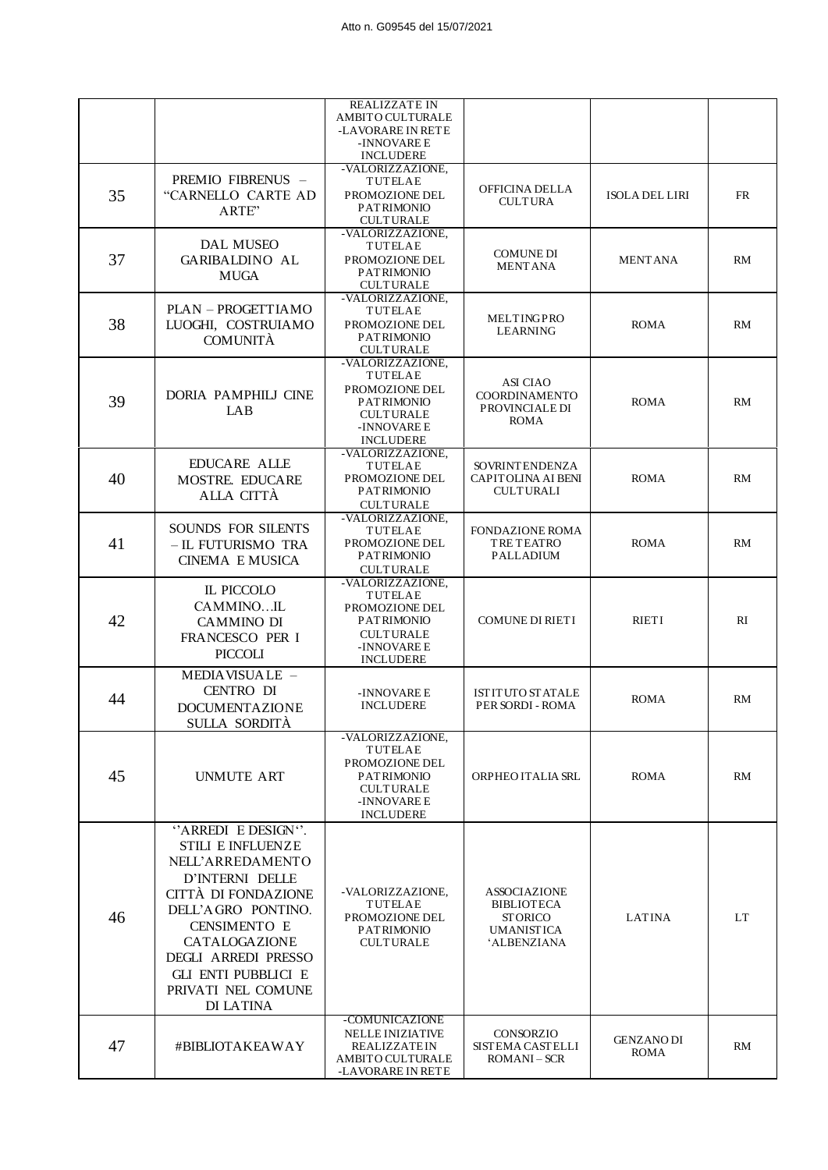|    |                                                                                                                                                                                                                                                                    | <b>REALIZZATE IN</b><br>AMBITO CULTURALE<br>-LAVORARE IN RETE<br>-INNOVARE E<br><b>INCLUDERE</b>                                 |                                                                                                      |                                  |           |
|----|--------------------------------------------------------------------------------------------------------------------------------------------------------------------------------------------------------------------------------------------------------------------|----------------------------------------------------------------------------------------------------------------------------------|------------------------------------------------------------------------------------------------------|----------------------------------|-----------|
| 35 | PREMIO FIBRENUS -<br>"CARNELLO CARTE AD<br>ARTE"                                                                                                                                                                                                                   | -VALORIZZAZIONE.<br><b>TUTELAE</b><br>PROMOZIONE DEL<br><b>PATRIMONIO</b><br><b>CULTURALE</b>                                    | OFFICINA DELLA<br><b>CULTURA</b>                                                                     | <b>ISOLA DEL LIRI</b>            | <b>FR</b> |
| 37 | DAL MUSEO<br><b>GARIBALDINO AL</b><br><b>MUGA</b>                                                                                                                                                                                                                  | -VALORIZZAZIONE.<br><b>TUTELAE</b><br>PROMOZIONE DEL<br><b>PATRIMONIO</b><br><b>CULTURALE</b>                                    | <b>COMUNE DI</b><br><b>MENTANA</b>                                                                   | <b>MENTANA</b>                   | RM        |
| 38 | PLAN - PROGETTIAMO<br>LUOGHI, COSTRUIAMO<br><b>COMUNITÀ</b>                                                                                                                                                                                                        | -VALORIZZAZIONE,<br>TUTELAE<br>PROMOZIONE DEL<br><b>PATRIMONIO</b><br><b>CULTURALE</b>                                           | MELTINGPRO<br><b>LEARNING</b>                                                                        | <b>ROMA</b>                      | RM        |
| 39 | DORIA PAMPHILJ CINE<br>LAB                                                                                                                                                                                                                                         | -VALORIZZAZIONE,<br><b>TUTELAE</b><br>PROMOZIONE DEL<br><b>PATRIMONIO</b><br><b>CULTURALE</b><br>-INNOVARE E<br><b>INCLUDERE</b> | ASI CIAO<br><b>COORDINAMENTO</b><br>PROVINCIALE DI<br><b>ROMA</b>                                    | <b>ROMA</b>                      | RM        |
| 40 | <b>EDUCARE ALLE</b><br>MOSTRE. EDUCARE<br>ALLA CITTÀ                                                                                                                                                                                                               | -VALORIZZAZIONE,<br><b>TUTELAE</b><br>PROMOZIONE DEL<br><b>PATRIMONIO</b><br><b>CULTURALE</b>                                    | <b>SOVRINTENDENZA</b><br>CAPITOLINA AI BENI<br><b>CULTURALI</b>                                      | <b>ROMA</b>                      | RM        |
| 41 | SOUNDS FOR SILENTS<br>- IL FUTURISMO TRA<br><b>CINEMA E MUSICA</b>                                                                                                                                                                                                 | -VALORIZZAZIONE,<br><b>TUTELAE</b><br>PROMOZIONE DEL<br><b>PATRIMONIO</b><br><b>CULTURALE</b>                                    | <b>FONDAZIONE ROMA</b><br>TRE TEATRO<br>PALLADIUM                                                    | <b>ROMA</b>                      | RM        |
| 42 | IL PICCOLO<br>CAMMINOIL<br><b>CAMMINO DI</b><br>FRANCESCO PER I<br><b>PICCOLI</b>                                                                                                                                                                                  | -VALORIZZAZIONE,<br>TUTELAE<br>PROMOZIONE DEL<br><b>PATRIMONIO</b><br><b>CULTURALE</b><br>-INNOVARE E<br><b>INCLUDERE</b>        | <b>COMUNE DI RIETI</b>                                                                               | <b>RIETI</b>                     | RI        |
| 44 | MEDIAVISUALE -<br>CENTRO DI<br><b>DOCUMENTAZIONE</b><br>SULLA SORDITÀ                                                                                                                                                                                              | -INNOVARE E<br><b>INCLUDERE</b>                                                                                                  | <b>ISTITUTO STATALE</b><br>PER SORDI - ROMA                                                          | <b>ROMA</b>                      | RM        |
| 45 | <b>UNMUTE ART</b>                                                                                                                                                                                                                                                  | -VALORIZZAZIONE,<br>TUTELAE<br>PROMOZIONE DEL<br><b>PATRIMONIO</b><br><b>CULTURALE</b><br>-INNOVARE E<br><b>INCLUDERE</b>        | ORPHEO ITALIA SRL                                                                                    | ROMA                             | RM        |
| 46 | "ARREDI E DESIGN".<br><b>STILI E INFLUENZE</b><br>NELL'ARREDAMENTO<br>D'INTERNI DELLE<br>CITTÀ DI FONDAZIONE<br>DELL'AGRO PONTINO.<br><b>CENSIMENTO E</b><br>CATALOGAZIONE<br>DEGLI ARREDI PRESSO<br><b>GLI ENTI PUBBLICI E</b><br>PRIVATI NEL COMUNE<br>DI LATINA | -VALORIZZAZIONE,<br>TUTELAE<br>PROMOZIONE DEL<br><b>PATRIMONIO</b><br><b>CULTURALE</b>                                           | <b>ASSOCIAZIONE</b><br><b>BIBLIOTECA</b><br><b>STORICO</b><br><b>UMANISTICA</b><br><b>ALBENZIANA</b> | <b>LATINA</b>                    | LT        |
| 47 | #BIBLIOTAKEAWAY                                                                                                                                                                                                                                                    | -COMUNICAZIONE<br><b>NELLE INIZIATIVE</b><br><b>REALIZZATEIN</b><br>AMBITO CULTURALE<br>-LAVORARE IN RETE                        | CONSORZIO<br><b>SISTEMA CASTELLI</b><br><b>ROMANI-SCR</b>                                            | <b>GENZANO DI</b><br><b>ROMA</b> | RM        |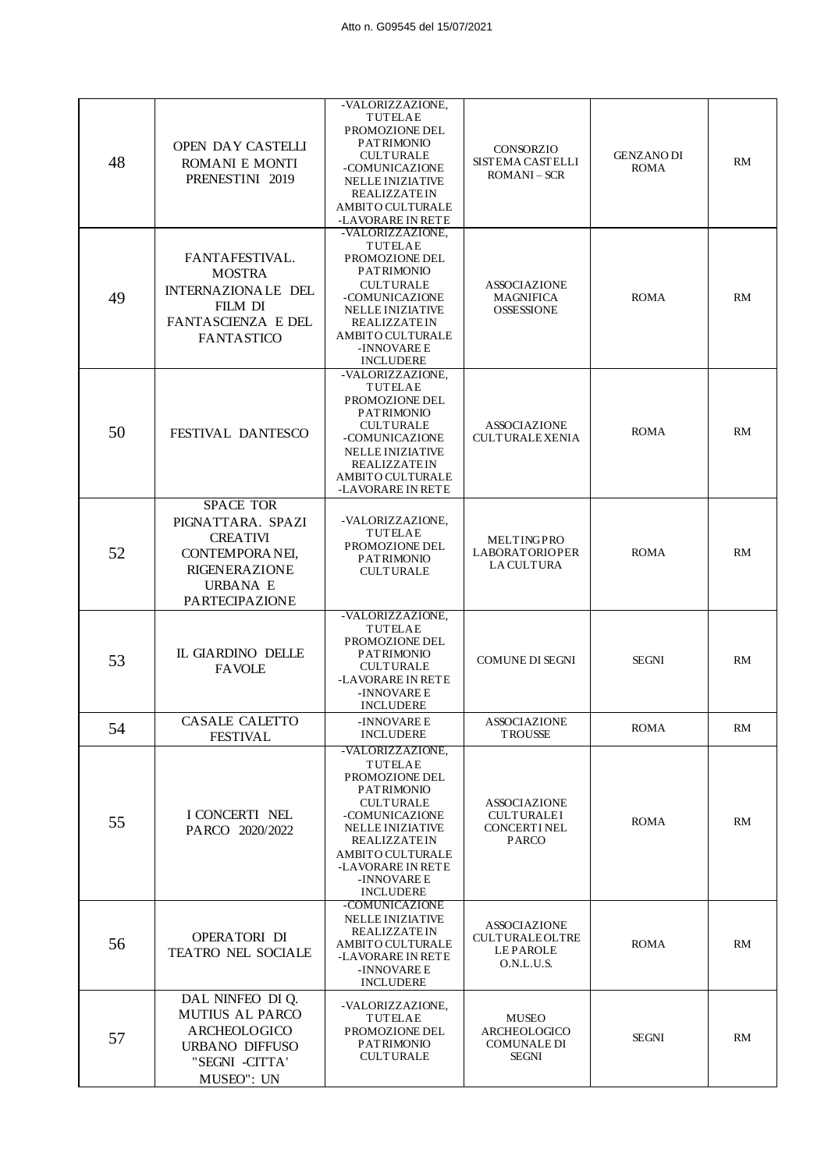| 48 | OPEN DAY CASTELLI<br>ROMANI E MONTI<br>PRENESTINI 2019                                                                                  | -VALORIZZAZIONE,<br><b>TUTELAE</b><br>PROMOZIONE DEL<br><b>PATRIMONIO</b><br><b>CULTURALE</b><br>-COMUNICAZIONE<br><b>NELLE INIZIATIVE</b><br><b>REALIZZATEIN</b><br><b>AMBITO CULTURALE</b><br>-LAVORARE IN RETE                      | <b>CONSORZIO</b><br><b>SISTEMA CASTELLI</b><br>$ROMANI - SCR$                 | <b>GENZANO DI</b><br><b>ROMA</b> | RM        |
|----|-----------------------------------------------------------------------------------------------------------------------------------------|----------------------------------------------------------------------------------------------------------------------------------------------------------------------------------------------------------------------------------------|-------------------------------------------------------------------------------|----------------------------------|-----------|
| 49 | FANTAFESTIVAL.<br><b>MOSTRA</b><br>INTERNAZIONALE DEL<br><b>FILM DI</b><br><b>FANTASCIENZA E DEL</b><br><b>FANTASTICO</b>               | -VALORIZZAZIONE.<br>TUTELAE<br>PROMOZIONE DEL<br><b>PATRIMONIO</b><br><b>CULTURALE</b><br>-COMUNICAZIONE<br><b>NELLE INIZIATIVE</b><br><b>REALIZZATEIN</b><br><b>AMBITO CULTURALE</b><br>-INNOVARE E<br><b>INCLUDERE</b>               | <b>ASSOCIAZIONE</b><br><b>MAGNIFICA</b><br><b>OSSESSIONE</b>                  | <b>ROMA</b>                      | <b>RM</b> |
| 50 | FESTIVAL DANTESCO                                                                                                                       | -VALORIZZAZIONE,<br>TUTELAE<br>PROMOZIONE DEL<br><b>PATRIMONIO</b><br><b>CULTURALE</b><br>-COMUNICAZIONE<br><b>NELLE INIZIATIVE</b><br><b>REALIZZATEIN</b><br><b>AMBITO CULTURALE</b><br>-LAVORARE IN RETE                             | <b>ASSOCIAZIONE</b><br><b>CULTURALEXENIA</b>                                  | <b>ROMA</b>                      | RM        |
| 52 | <b>SPACE TOR</b><br>PIGNATTARA. SPAZI<br><b>CREATIVI</b><br>CONTEMPORANEI,<br><b>RIGENERAZIONE</b><br><b>URBANA E</b><br>PARTECIPAZIONE | -VALORIZZAZIONE,<br>TUTELAE<br>PROMOZIONE DEL<br><b>PATRIMONIO</b><br><b>CULTURALE</b>                                                                                                                                                 | MELTINGPRO<br><b>LABORATORIOPER</b><br><b>LA CULTURA</b>                      | <b>ROMA</b>                      | RM        |
| 53 | IL GIARDINO DELLE<br><b>FAVOLE</b>                                                                                                      | -VALORIZZAZIONE,<br>TUTELAE<br>PROMOZIONE DEL<br><b>PATRIMONIO</b><br><b>CULTURALE</b><br>-LAVORARE IN RETE<br>-INNOVARE E<br><b>INCLUDERE</b>                                                                                         | <b>COMUNE DI SEGNI</b>                                                        | <b>SEGNI</b>                     | RM        |
| 54 | CASALE CALETTO<br><b>FESTIVAL</b>                                                                                                       | -INNOVARE E<br><b>INCLUDERE</b>                                                                                                                                                                                                        | <b>ASSOCIAZIONE</b><br><b>TROUSSE</b>                                         | <b>ROMA</b>                      | RM        |
| 55 | I CONCERTI NEL<br>PARCO 2020/2022                                                                                                       | -VALORIZZAZIONE,<br>TUTELAE<br>PROMOZIONE DEL<br><b>PATRIMONIO</b><br><b>CULTURALE</b><br>-COMUNICAZIONE<br><b>NELLE INIZIATIVE</b><br>REALIZZATEIN<br><b>AMBITO CULTURALE</b><br>-LAVORARE IN RETE<br>-INNOVARE E<br><b>INCLUDERE</b> | <b>ASSOCIAZIONE</b><br><b>CULTURALEI</b><br>CONCERT I NEL<br>PARCO            | <b>ROMA</b>                      | RM        |
| 56 | OPERATORI DI<br><b>TEATRO NEL SOCIALE</b>                                                                                               | -COMUNICAZIONE<br><b>NELLE INIZIATIVE</b><br><b>REALIZZATEIN</b><br><b>AMBITO CULTURALE</b><br>-LAVORARE IN RETE<br>-INNOVARE E<br><b>INCLUDERE</b>                                                                                    | <b>ASSOCIAZIONE</b><br><b>CULTURALEOLTRE</b><br><b>LEPAROLE</b><br>O.N.L.U.S. | <b>ROMA</b>                      | RM        |
| 57 | DAL NINFEO DI Q.<br><b>MUTIUS AL PARCO</b><br>ARCHEOLOGICO<br><b>URBANO DIFFUSO</b><br>"SEGNI -CITTA'<br>MUSEO": UN                     | -VALORIZZAZIONE,<br>TUTELAE<br>PROMOZIONE DEL<br><b>PATRIMONIO</b><br><b>CULTURALE</b>                                                                                                                                                 | <b>MUSEO</b><br><b>ARCHEOLOGICO</b><br><b>COMUNALE DI</b><br><b>SEGNI</b>     | <b>SEGNI</b>                     | RM        |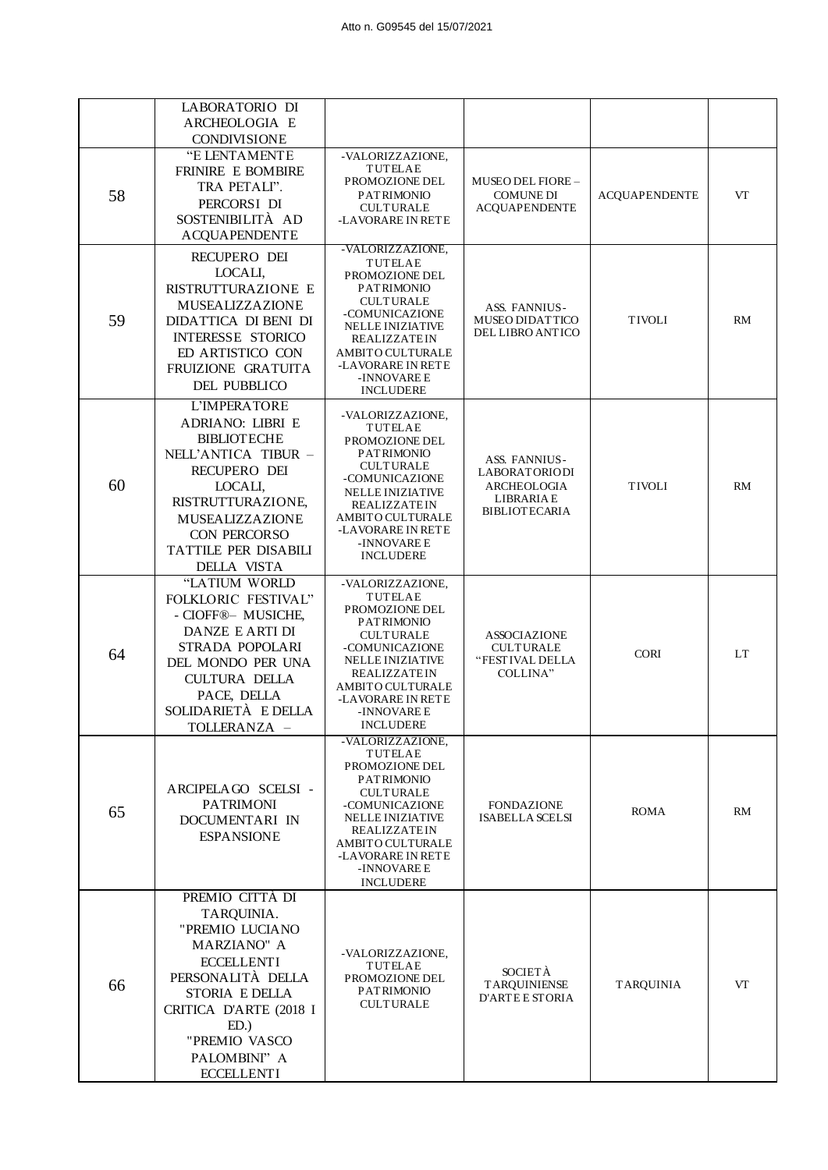|    | LABORATORIO DI<br>ARCHEOLOGIA E<br><b>CONDIVISIONE</b>                                                                                                                                                                       |                                                                                                                                                                                                                                               |                                                                                                  |                      |           |
|----|------------------------------------------------------------------------------------------------------------------------------------------------------------------------------------------------------------------------------|-----------------------------------------------------------------------------------------------------------------------------------------------------------------------------------------------------------------------------------------------|--------------------------------------------------------------------------------------------------|----------------------|-----------|
| 58 | "E LENTAMENTE<br><b>FRINIRE E BOMBIRE</b><br>TRA PETALI".<br>PERCORSI DI<br>SOSTENIBILITÀ AD<br><b>ACQUAPENDENTE</b>                                                                                                         | -VALORIZZAZIONE,<br><b>TUTELAE</b><br>PROMOZIONE DEL<br><b>PATRIMONIO</b><br><b>CULTURALE</b><br>-LAVORARE IN RETE                                                                                                                            | <b>MUSEO DEL FIORE -</b><br><b>COMUNE DI</b><br><b>ACQUAPENDENTE</b>                             | <b>ACQUAPENDENTE</b> | VT        |
| 59 | RECUPERO DEI<br>LOCALI,<br>RISTRUTTURAZIONE E<br>MUSEALIZZAZIONE<br>DIDATTICA DI BENI DI<br><b>INTERESSE STORICO</b><br>ED ARTISTICO CON<br>FRUIZIONE GRATUITA<br><b>DEL PUBBLICO</b>                                        | -VALORIZZAZIONE,<br>TUTELAE<br>PROMOZIONE DEL<br><b>PATRIMONIO</b><br><b>CULTURALE</b><br>-COMUNICAZIONE<br><b>NELLE INIZIATIVE</b><br><b>REALIZZATEIN</b><br>AMBITO CULTURALE<br>-LAVORARE IN RETE<br>-INNOVARE E<br><b>INCLUDERE</b>        | ASS. FANNIUS-<br><b>MUSEO DIDATTICO</b><br><b>DEL LIBRO ANTICO</b>                               | <b>TIVOLI</b>        | RM        |
| 60 | L'IMPERATORE<br><b>ADRIANO: LIBRI E</b><br><b>BIBLIOTECHE</b><br>NELL'ANTICA TIBUR -<br>RECUPERO DEI<br>LOCALI,<br>RISTRUTTURAZIONE,<br>MUSEALIZZAZIONE<br><b>CON PERCORSO</b><br>TATTILE PER DISABILI<br><b>DELLA VISTA</b> | -VALORIZZAZIONE,<br><b>TUTELAE</b><br>PROMOZIONE DEL<br><b>PATRIMONIO</b><br><b>CULTURALE</b><br>-COMUNICAZIONE<br><b>NELLE INIZIATIVE</b><br><b>REALIZZATEIN</b><br>AMBITO CULTURALE<br>-LAVORARE IN RETE<br>-INNOVARE E<br><b>INCLUDERE</b> | ASS. FANNIUS-<br><b>LABORATORIODI</b><br>ARCHEOLOGIA<br><b>LIBRARIAE</b><br><b>BIBLIOTECARIA</b> | <b>TIVOLI</b>        | <b>RM</b> |
| 64 | "LATIUM WORLD<br>FOLKLORIC FESTIVAL"<br>- CIOFF <sup>®</sup> - MUSICHE,<br>DANZE E ARTI DI<br>STRADA POPOLARI<br>DEL MONDO PER UNA<br><b>CULTURA DELLA</b><br>PACE, DELLA<br>SOLIDARIETÀ E DELLA<br>TOLLERANZA -             | -VALORIZZAZIONE,<br>TUTELAE<br>PROMOZIONE DEL<br><b>PATRIMONIO</b><br><b>CULTURALE</b><br>-COMUNICAZIONE<br><b>NELLE INIZIATIVE</b><br>REALIZZATEIN<br>AMBITO CULTURALE<br>-LAVORARE IN RETE<br>-INNOVARE E<br><b>INCLUDERE</b>               | <b>ASSOCIAZIONE</b><br><b>CULTURALE</b><br>"FESTIVAL DELLA<br>COLLINA"                           | <b>CORI</b>          | <b>LT</b> |
| 65 | ARCIPELAGO SCELSI-<br><b>PATRIMONI</b><br>DOCUMENTARI IN<br><b>ESPANSIONE</b>                                                                                                                                                | -VALORIZZAZIONE.<br><b>TUTELAE</b><br>PROMOZIONE DEL<br><b>PATRIMONIO</b><br><b>CULTURALE</b><br>-COMUNICAZIONE<br><b>NELLE INIZIATIVE</b><br><b>REALIZZATEIN</b><br>AMBITO CULTURALE<br>-LAVORARE IN RETE<br>-INNOVARE E<br><b>INCLUDERE</b> | <b>FONDAZIONE</b><br><b>ISABELLA SCELSI</b>                                                      | ROMA                 | RM        |
| 66 | PREMIO CITTÀ DI<br>TARQUINIA.<br>"PREMIO LUCIANO<br><b>MARZIANO" A</b><br><b>ECCELLENTI</b><br>PERSONALITÀ DELLA<br>STORIA E DELLA<br>CRITICA D'ARTE (2018 I<br>ED.<br>"PREMIO VASCO<br>PALOMBINI" A<br><b>ECCELLENTI</b>    | -VALORIZZAZIONE,<br>TUTELAE<br>PROMOZIONE DEL<br><b>PATRIMONIO</b><br><b>CULTURALE</b>                                                                                                                                                        | <b>SOCIETÀ</b><br><b>TARQUINIENSE</b><br><b>D'ARTE E STORIA</b>                                  | <b>TARQUINIA</b>     | VT        |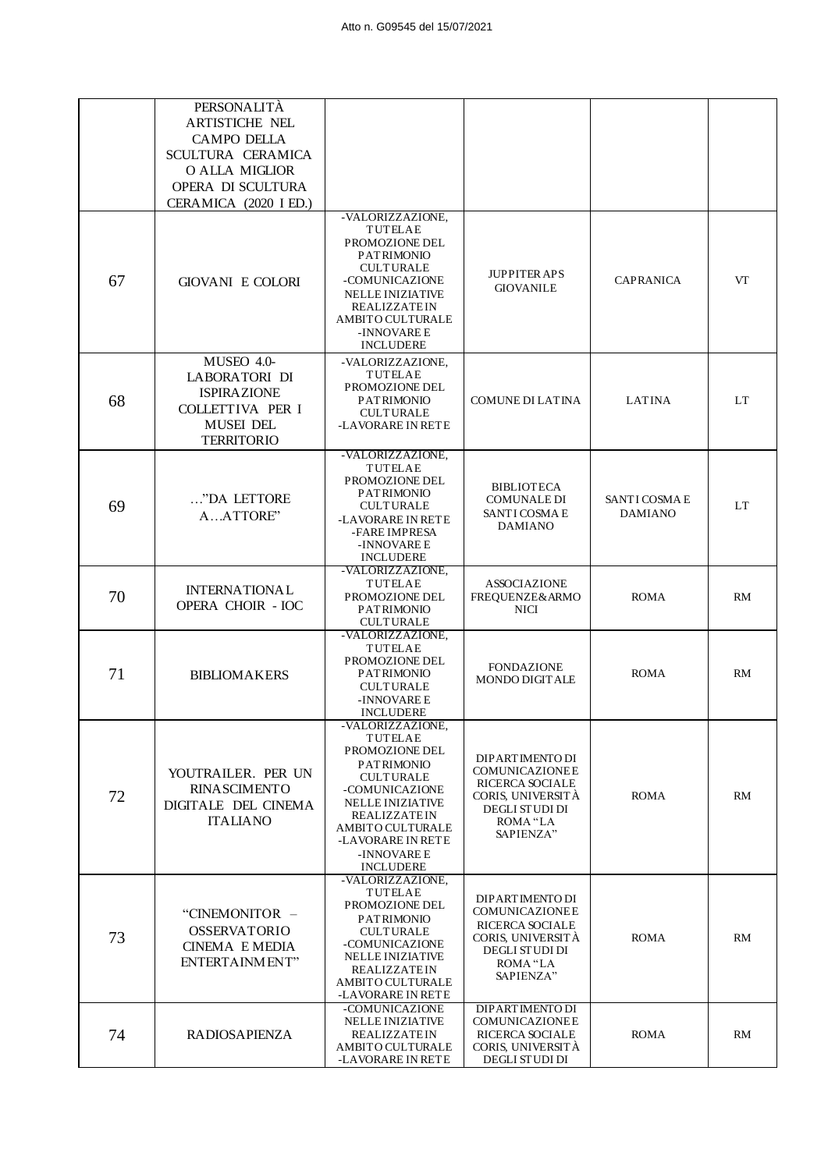|    | PERSONALITÀ<br>ARTISTICHE NEL<br><b>CAMPO DELLA</b><br>SCULTURA CERAMICA<br>O ALLA MIGLIOR<br>OPERA DI SCULTURA<br>CERAMICA (2020 I ED.) |                                                                                                                                                                                                                                               |                                                                                                                                    |                                 |           |
|----|------------------------------------------------------------------------------------------------------------------------------------------|-----------------------------------------------------------------------------------------------------------------------------------------------------------------------------------------------------------------------------------------------|------------------------------------------------------------------------------------------------------------------------------------|---------------------------------|-----------|
| 67 | <b>GIOVANI E COLORI</b>                                                                                                                  | -VALORIZZAZIONE,<br><b>TUTELAE</b><br>PROMOZIONE DEL<br><b>PATRIMONIO</b><br><b>CULTURALE</b><br>-COMUNICAZIONE<br><b>NELLE INIZIATIVE</b><br><b>REALIZZATEIN</b><br>AMBITO CULTURALE<br>-INNOVARE E<br><b>INCLUDERE</b>                      | <b>JUPPITER APS</b><br><b>GIOVANILE</b>                                                                                            | <b>CAPRANICA</b>                | VT        |
| 68 | MUSEO 4.0-<br>LABORATORI DI<br><b>ISPIRAZIONE</b><br>COLLETTIVA PER I<br><b>MUSEI DEL</b><br><b>TERRITORIO</b>                           | -VALORIZZAZIONE.<br><b>TUTELAE</b><br>PROMOZIONE DEL<br><b>PATRIMONIO</b><br><b>CULTURALE</b><br>-LAVORARE IN RETE                                                                                                                            | COMUNE DI LATINA                                                                                                                   | <b>LATINA</b>                   | LT        |
| 69 | "DA LETTORE<br>AATTORE"                                                                                                                  | -VALORIZZAZIONE,<br><b>TUTELAE</b><br>PROMOZIONE DEL<br><b>PATRIMONIO</b><br><b>CULTURALE</b><br>-LAVORARE IN RETE<br>-FARE IMPRESA<br>-INNOVARE E<br><b>INCLUDERE</b>                                                                        | <b>BIBLIOTECA</b><br><b>COMUNALE DI</b><br>SANTI COSMA E<br><b>DAMIANO</b>                                                         | SANTI COSMA E<br><b>DAMIANO</b> | <b>LT</b> |
| 70 | <b>INTERNATIONAL</b><br><b>OPERA CHOIR - IOC</b>                                                                                         | -VALORIZZAZIONE,<br><b>TUTELAE</b><br>PROMOZIONE DEL<br><b>PATRIMONIO</b><br><b>CULTURALE</b>                                                                                                                                                 | <b>ASSOCIAZIONE</b><br>FREQUENZE& ARMO<br><b>NICI</b>                                                                              | <b>ROMA</b>                     | RM        |
| 71 | <b>BIBLIOMAKERS</b>                                                                                                                      | -VALORIZZAZIONE,<br><b>TUTELAE</b><br>PROMOZIONE DEL<br><b>PATRIMONIO</b><br><b>CULTURALE</b><br>-INNOVARE E<br><b>INCLUDERE</b>                                                                                                              | <b>FONDAZIONE</b><br>MONDO DIGITALE                                                                                                | <b>ROMA</b>                     | RM        |
| 72 | YOUTRAILER. PER UN<br><b>RINASCIMENTO</b><br>DIGITALE DEL CINEMA<br><b>ITALIANO</b>                                                      | -VALORIZZAZIONE,<br><b>TUTELAE</b><br>PROMOZIONE DEL<br><b>PATRIMONIO</b><br><b>CULTURALE</b><br>-COMUNICAZIONE<br><b>NELLE INIZIATIVE</b><br><b>REALIZZATEIN</b><br>AMBITO CULTURALE<br>-LAVORARE IN RETE<br>-INNOVARE E<br><b>INCLUDERE</b> | DIPARTIMENTO DI<br>COMUNICAZIONEE<br><b>RICERCA SOCIALE</b><br>CORIS, UNIVERSITA<br><b>DEGLI STUDI DI</b><br>ROMA "LA<br>SAPIENZA" | <b>ROMA</b>                     | RM        |
| 73 | "CINEMONITOR -<br><b>OSSERVATORIO</b><br><b>CINEMA E MEDIA</b><br>ENTERTAINMENT"                                                         | -VALORIZZAZIONE,<br><b>TUTELAE</b><br>PROMOZIONE DEL<br><b>PATRIMONIO</b><br><b>CULTURALE</b><br>-COMUNICAZIONE<br><b>NELLE INIZIATIVE</b><br><b>REALIZZATEIN</b><br>AMBITO CULTURALE<br>-LAVORARE IN RETE                                    | DIPARTIMENTO DI<br>COMUNICAZIONEE<br><b>RICERCA SOCIALE</b><br>CORIS, UNIVERSITÀ<br>DEGLI STUDI DI<br>ROMA "LA<br>SAPIENZA"        | <b>ROMA</b>                     | RM        |
| 74 | <b>RADIOSAPIENZA</b>                                                                                                                     | -COMUNICAZIONE<br><b>NELLE INIZIATIVE</b><br><b>REALIZZATEIN</b><br>AMBITO CULTURALE<br>-LAVORARE IN RETE                                                                                                                                     | <b>DIPARTIMENTO DI</b><br>COMUNICAZIONEE<br><b>RICERCA SOCIALE</b><br>CORIS, UNIVERSITÀ<br>DEGLI STUDI DI                          | <b>ROMA</b>                     | RM        |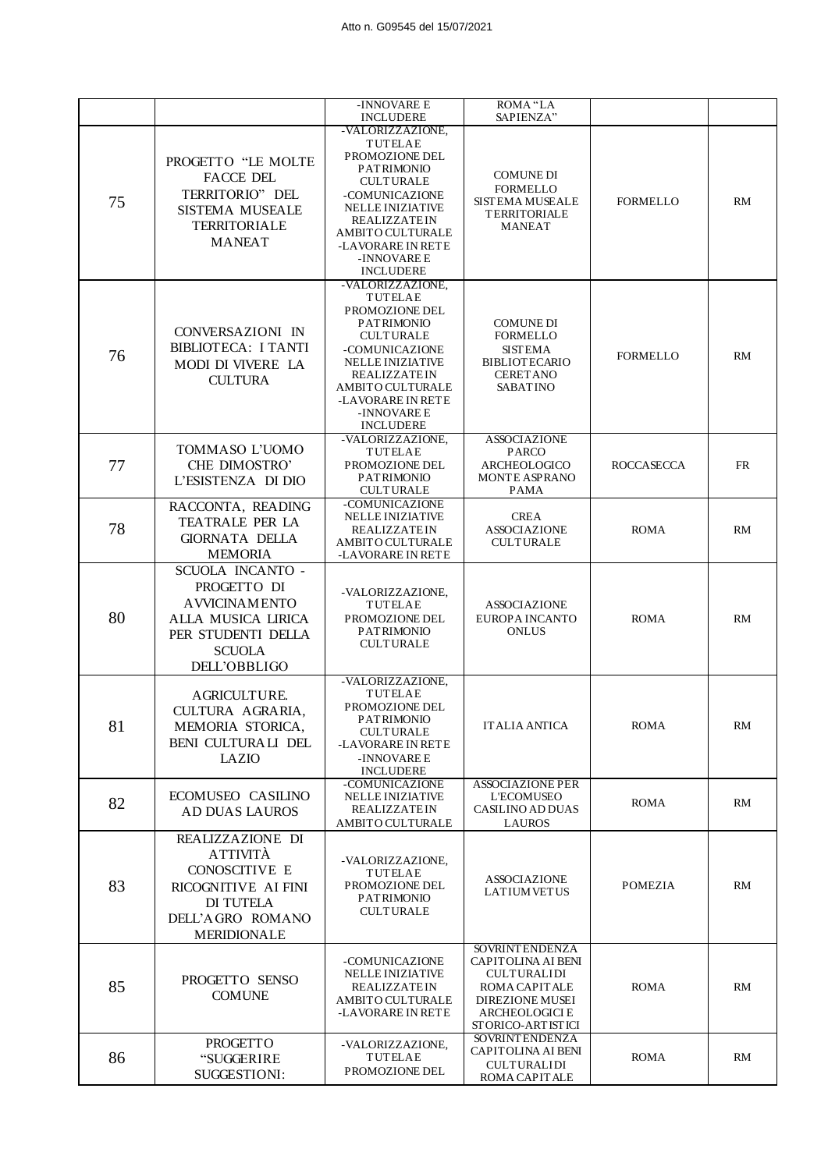|    |                                                                                                                                      | -INNOVARE E                                                                                                                                                                                                                            | ROMA "LA                                                                                                                                                    |                   |           |
|----|--------------------------------------------------------------------------------------------------------------------------------------|----------------------------------------------------------------------------------------------------------------------------------------------------------------------------------------------------------------------------------------|-------------------------------------------------------------------------------------------------------------------------------------------------------------|-------------------|-----------|
|    |                                                                                                                                      | <b>INCLUDERE</b>                                                                                                                                                                                                                       | SAPIENZA"                                                                                                                                                   |                   |           |
| 75 | PROGETTO "LE MOLTE<br>FACCE DEL<br>TERRITORIO" DEL<br><b>SISTEMA MUSEALE</b><br><b>TERRITORIALE</b><br><b>MANEAT</b>                 | -VALORIZZAZIONE,<br>TUTELAE<br>PROMOZIONE DEL<br><b>PATRIMONIO</b><br><b>CULTURALE</b><br>-COMUNICAZIONE<br><b>NELLE INIZIATIVE</b><br><b>REALIZZATEIN</b><br>AMBITO CULTURALE<br>-LAVORARE IN RETE<br>-INNOVARE E<br><b>INCLUDERE</b> | <b>COMUNE DI</b><br><b>FORMELLO</b><br><b>SISTEMA MUSEALE</b><br><b>TERRITORIALE</b><br><b>MANEAT</b>                                                       | <b>FORMELLO</b>   | RM        |
| 76 | CONVERSAZIONI IN<br>BIBLIOTECA: I TANTI<br>MODI DI VIVERE LA<br><b>CULTURA</b>                                                       | -VALORIZZAZIONE.<br>TUTELAE<br>PROMOZIONE DEL<br><b>PATRIMONIO</b><br><b>CULTURALE</b><br>-COMUNICAZIONE<br><b>NELLE INIZIATIVE</b><br><b>REALIZZATEIN</b><br>AMBITO CULTURALE<br>-LAVORARE IN RETE<br>-INNOVARE E<br><b>INCLUDERE</b> | <b>COMUNE DI</b><br><b>FORMELLO</b><br><b>SISTEMA</b><br><b>BIBLIOTECARIO</b><br><b>CERET ANO</b><br><b>SABATINO</b>                                        | <b>FORMELLO</b>   | RM        |
| 77 | TOMMASO L'UOMO<br>CHE DIMOSTRO'<br>L'ESISTENZA DI DIO                                                                                | -VALORIZZAZIONE,<br><b>TUTELAE</b><br>PROMOZIONE DEL<br><b>PATRIMONIO</b><br><b>CULTURALE</b>                                                                                                                                          | <b>ASSOCIAZIONE</b><br><b>PARCO</b><br>ARCHEOLOGICO<br><b>MONTE ASPRANO</b><br><b>PAMA</b>                                                                  | <b>ROCCASECCA</b> | <b>FR</b> |
| 78 | RACCONTA, READING<br>TEATRALE PER LA<br><b>GIORNATA DELLA</b><br><b>MEMORIA</b>                                                      | -COMUNICAZIONE<br><b>NELLE INIZIATIVE</b><br><b>REALIZZATEIN</b><br>AMBITO CULTURALE<br>-LAVORARE IN RETE                                                                                                                              | <b>CREA</b><br><b>ASSOCIAZIONE</b><br><b>CULTURALE</b>                                                                                                      | <b>ROMA</b>       | RM        |
| 80 | SCUOLA INCANTO -<br>PROGETTO DI<br><b>AVVICINAMENTO</b><br>ALLA MUSICA LIRICA<br>PER STUDENTI DELLA<br><b>SCUOLA</b><br>DELL'OBBLIGO | -VALORIZZAZIONE,<br>TUTELAE<br>PROMOZIONE DEL<br><b>PATRIMONIO</b><br><b>CULTURALE</b>                                                                                                                                                 | <b>ASSOCIAZIONE</b><br>EUROPA INCANTO<br><b>ONLUS</b>                                                                                                       | <b>ROMA</b>       | RM        |
| 81 | <b>AGRICULTURE</b><br>CULTURA AGRARIA,<br>MEMORIA STORICA,<br>BENI CULTURALI DEL<br>LAZIO                                            | -VALORIZZAZIONE,<br>TUTELAE<br>PROMOZIONE DEL<br><b>PATRIMONIO</b><br><b>CULTURALE</b><br>-LAVORARE IN RETE<br>-INNOVARE E<br><b>INCLUDERE</b>                                                                                         | IT ALIA ANTICA                                                                                                                                              | <b>ROMA</b>       | RM        |
| 82 | ECOMUSEO CASILINO<br><b>AD DUAS LAUROS</b>                                                                                           | -COMUNICAZIONE<br>NELLE INIZIATIVE<br><b>REALIZZATEIN</b><br>AMBITO CULTURALE                                                                                                                                                          | <b>ASSOCIAZIONE PER</b><br><b>L'ECOMUSEO</b><br><b>CASILINO AD DUAS</b><br>LAUROS                                                                           | <b>ROMA</b>       | RM        |
| 83 | REALIZZAZIONE DI<br><b>ATTIVITÀ</b><br>CONOSCITIVE E<br>RICOGNITIVE AI FINI<br>DI TUTELA<br>DELL'AGRO ROMANO<br><b>MERIDIONALE</b>   | -VALORIZZAZIONE,<br>TUTELAE<br>PROMOZIONE DEL<br><b>PATRIMONIO</b><br><b>CULTURALE</b>                                                                                                                                                 | <b>ASSOCIAZIONE</b><br><b>LATIUM VETUS</b>                                                                                                                  | <b>POMEZIA</b>    | RM        |
| 85 | PROGETTO SENSO<br><b>COMUNE</b>                                                                                                      | -COMUNICAZIONE<br><b>NELLE INIZIATIVE</b><br>REALIZZATEIN<br>AMBITO CULTURALE<br>-LAVORARE IN RETE                                                                                                                                     | <b>SOVRINT ENDENZA</b><br>CAPITOLINA AI BENI<br><b>CULTURALIDI</b><br>ROMA CAPITALE<br><b>DIREZIONE MUSEI</b><br><b>ARCHEOLOGICI E</b><br>STORICO-ARTISTICI | <b>ROMA</b>       | RM        |
| 86 | <b>PROGETTO</b><br>"SUGGERIRE<br>SUGGESTIONI:                                                                                        | -VALORIZZAZIONE,<br><b>TUTELAE</b><br>PROMOZIONE DEL                                                                                                                                                                                   | <b>SOVRINT ENDENZA</b><br>CAPITOLINA AI BENI<br><b>CULTURALIDI</b><br>ROMA CAPITALE                                                                         | <b>ROMA</b>       | RM        |